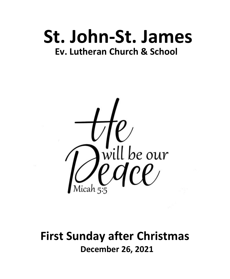# **St. John-St. James Ev. Lutheran Church & School**



# **First Sunday after Christmas December 26, 2021**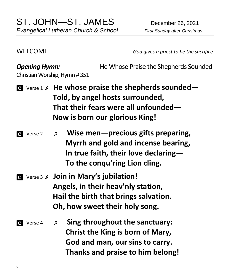WELCOME *God gives a priest to be the sacrifice*

**Opening Hymn: He Whose Praise the Shepherds Sounded** Christian Worship, Hymn # 351 Verse 1  **He whose praise the shepherds sounded— Told, by angel hosts surrounded, That their fears were all unfounded— Now is born our glorious King!** Verse 2  **Wise men—precious gifts preparing, Myrrh and gold and incense bearing, In true faith, their love declaring— To the conqu'ring Lion cling.** Verse 3  **Join in Mary's jubilation! Angels, in their heav'nly station, Hail the birth that brings salvation. Oh, how sweet their holy song.** Verse 4  **Sing throughout the sanctuary: Christ the King is born of Mary, God and man, our sins to carry. Thanks and praise to him belong!**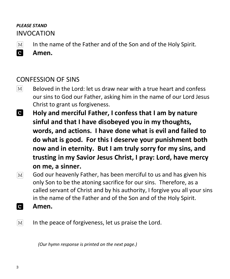## *PLEASE STAND* INVOCATION

 $\lceil \text{M} \rceil$ In the name of the Father and of the Son and of the Holy Spirit.



**Amen.**

## CONFESSION OF SINS

- $\lceil \text{M} \rceil$ Beloved in the Lord: let us draw near with a true heart and confess our sins to God our Father, asking him in the name of our Lord Jesus Christ to grant us forgiveness.
- **C Holy and merciful Father, I confess that I am by nature sinful and that I have disobeyed you in my thoughts, words, and actions. I have done what is evil and failed to do what is good. For this I deserve your punishment both now and in eternity. But I am truly sorry for my sins, and trusting in my Savior Jesus Christ, I pray: Lord, have mercy on me, a sinner.**
- God our heavenly Father, has been merciful to us and has given his  $\lceil \text{M} \rceil$ only Son to be the atoning sacrifice for our sins. Therefore, as a called servant of Christ and by his authority, I forgive you all your sins in the name of the Father and of the Son and of the Holy Spirit.
- **C Amen.**
- In the peace of forgiveness, let us praise the Lord.  $\mathbf{M}$

 *(Our hymn response is printed on the next page.)*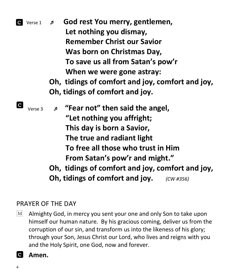|                | C Verse 1 | God rest You merry, gentlemen,<br>$\mathfrak{p}$ |
|----------------|-----------|--------------------------------------------------|
|                |           | Let nothing you dismay,                          |
|                |           | <b>Remember Christ our Savior</b>                |
|                |           | Was born on Christmas Day,                       |
|                |           | To save us all from Satan's pow'r                |
|                |           | When we were gone astray:                        |
|                |           | Oh, tidings of comfort and joy, comfort and joy, |
|                |           | Oh, tidings of comfort and joy.                  |
| $\overline{c}$ | Verse 3   | "Fear not" then said the angel,<br>ø             |
|                |           | "Let nothing you affright;                       |
|                |           | This day is born a Savior,                       |
|                |           | The true and radiant light                       |
|                |           | To free all those who trust in Him               |
|                |           | From Satan's pow'r and might."                   |
|                |           | Oh, tidings of comfort and joy, comfort and joy, |
|                |           | Oh, tidings of comfort and joy.<br>(CW H356)     |

## PRAYER OF THE DAY

 $\lceil \text{M} \rceil$ Almighty God, in mercy you sent your one and only Son to take upon himself our human nature. By his gracious coming, deliver us from the corruption of our sin, and transform us into the likeness of his glory; through your Son, Jesus Christ our Lord, who lives and reigns with you and the Holy Spirit, one God, now and forever.

### **a** Amen.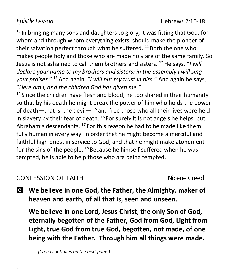**<sup>10</sup>** In bringing many sons and daughters to glory, it was fitting that God, for whom and through whom everything exists, should make the pioneer of their salvation perfect through what he suffered. **<sup>11</sup>** Both the one who makes people holy and those who are made holy are of the same family. So Jesus is not ashamed to call them brothers and sisters. **<sup>12</sup>**He says, "*I will declare your name to my brothers and sisters; in the assembly I will sing your praises*." **<sup>13</sup>** And again, "*I will put my trust in him*." And again he says, "*Here am I, and the children God has given me."*

**<sup>14</sup>** Since the children have flesh and blood, he too shared in their humanity so that by his death he might break the power of him who holds the power of death—that is, the devil— **<sup>15</sup>** and free those who all their lives were held in slavery by their fear of death. **<sup>16</sup>** For surely it is not angels he helps, but Abraham's descendants. **<sup>17</sup>** For this reason he had to be made like them, fully human in every way, in order that he might become a merciful and faithful high priest in service to God, and that he might make atonement for the sins of the people. **<sup>18</sup>** Because he himself suffered when he was tempted, he is able to help those who are being tempted.

## CONFESSION OF FAITH Nicene Creed

**We believe in one God, the Father, the Almighty, maker of heaven and earth, of all that is, seen and unseen.**

**We believe in one Lord, Jesus Christ, the only Son of God, eternally begotten of the Father, God from God, Light from Light, true God from true God, begotten, not made, of one being with the Father. Through him all things were made.** 

 *(Creed continues on the next page.)*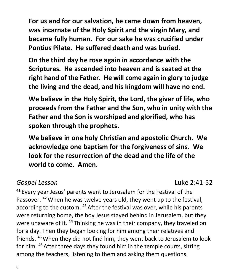**For us and for our salvation, he came down from heaven, was incarnate of the Holy Spirit and the virgin Mary, and became fully human. For our sake he was crucified under Pontius Pilate. He suffered death and was buried.** 

**On the third day he rose again in accordance with the Scriptures. He ascended into heaven and is seated at the right hand of the Father. He will come again in glory to judge the living and the dead, and his kingdom will have no end.**

**We believe in the Holy Spirit, the Lord, the giver of life, who proceeds from the Father and the Son, who in unity with the Father and the Son is worshiped and glorified, who has spoken through the prophets.** 

**We believe in one holy Christian and apostolic Church. We acknowledge one baptism for the forgiveness of sins. We look for the resurrection of the dead and the life of the world to come. Amen.**

## *Gospel Lesson* Luke 2:41-52

**<sup>41</sup>** Every year Jesus' parents went to Jerusalem for the Festival of the Passover. **<sup>42</sup>**When he was twelve years old, they went up to the festival, according to the custom. **<sup>43</sup>** After the festival was over, while his parents were returning home, the boy Jesus stayed behind in Jerusalem, but they were unaware of it. **<sup>44</sup>** Thinking he was in their company, they traveled on for a day. Then they began looking for him among their relatives and friends. **<sup>45</sup>**When they did not find him, they went back to Jerusalem to look for him. **<sup>46</sup>** After three days they found him in the temple courts, sitting among the teachers, listening to them and asking them questions.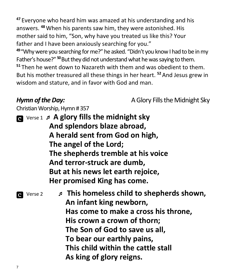**<sup>47</sup>** Everyone who heard him was amazed at his understanding and his answers. **<sup>48</sup>**When his parents saw him, they were astonished. His mother said to him, "Son, why have you treated us like this? Your father and I have been anxiously searching for you."

**<sup>49</sup>**"Why were you searching for me?" he asked. "Didn't you know I had to be in my Father's house?"<sup>50</sup> But they did not understand what he was saying to them. **<sup>51</sup>** Then he went down to Nazareth with them and was obedient to them. But his mother treasured all these things in her heart. **<sup>52</sup>**And Jesus grew in wisdom and stature, and in favor with God and man.

*Hymn of the Day:* **A** Glory Fills the Midnight Sky

Christian Worship, Hymn # 357

 Verse 1 **A glory fills the midnight sky And splendors blaze abroad, A herald sent from God on high, The angel of the Lord; The shepherds tremble at his voice And terror-struck are dumb, But at his news let earth rejoice, Her promised King has come.**

 Verse 2 **This homeless child to shepherds shown, An infant king newborn, Has come to make a cross his throne, His crown a crown of thorn; The Son of God to save us all, To bear our earthly pains, This child within the cattle stall As king of glory reigns.**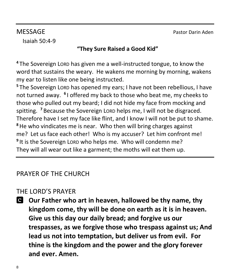MESSAGE Pastor Darin Aden

Isaiah 50:4-9

## **"They Sure Raised a Good Kid"**

**<sup>4</sup>** The Sovereign LORD has given me a well-instructed tongue, to know the word that sustains the weary. He wakens me morning by morning, wakens my ear to listen like one being instructed.

**<sup>5</sup>** The Sovereign LORD has opened my ears; I have not been rebellious, I have not turned away. **6** I offered my back to those who beat me, my cheeks to those who pulled out my beard; I did not hide my face from mocking and spitting. **<sup>7</sup>** Because the Sovereign LORD helps me, I will not be disgraced. Therefore have I set my face like flint, and I know I will not be put to shame. **<sup>8</sup>**He who vindicates me is near. Who then will bring charges against me? Let us face each other! Who is my accuser? Let him confront me! **9** It is the Sovereign LORD who helps me. Who will condemn me? They will all wear out like a garment; the moths will eat them up.

## PRAYER OF THE CHURCH

## THE LORD'S PRAYER

**Our Father who art in heaven, hallowed be thy name, thy kingdom come, thy will be done on earth as it is in heaven. Give us this day our daily bread; and forgive us our trespasses, as we forgive those who trespass against us; And lead us not into temptation, but deliver us from evil. For thine is the kingdom and the power and the glory forever and ever. Amen.**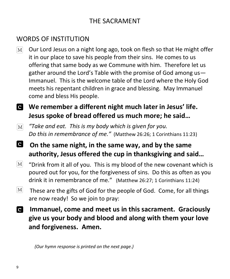## THE SACRAMENT

## WORDS OF INSTITUTION

 $\lceil \mathbf{M} \rceil$ Our Lord Jesus on a night long ago, took on flesh so that He might offer it in our place to save his people from their sins. He comes to us offering that same body as we Commune with him. Therefore let us gather around the Lord's Table with the promise of God among us— Immanuel. This is the welcome table of the Lord where the Holy God meets his repentant children in grace and blessing. May Immanuel come and bless His people.

## **We remember a different night much later in Jesus' life. Jesus spoke of bread offered us much more; he said…**

- *"Take and eat. This is my body which is given for you.*   $[M]$ *Do this in remembrance of me."* (Matthew 26:26; 1 Corinthians 11:23)
- $\mathbf{C}$ **On the same night, in the same way, and by the same authority, Jesus offered the cup in thanksgiving and said…**
- $|M|$ "Drink from it all of you. This is my blood of the new covenant which is poured out for you, for the forgiveness of sins. Do this as often as you drink it in remembrance of me."(Matthew 26:27; 1 Corinthians 11:24)
- $\lceil \text{M} \rceil$ These are the gifts of God for the people of God. Come, for all things are now ready! So we join to pray:
- **Immanuel, come and meet us in this sacrament. Graciously give us your body and blood and along with them your love and forgiveness. Amen.**

 *(Our hymn response is printed on the next page.)*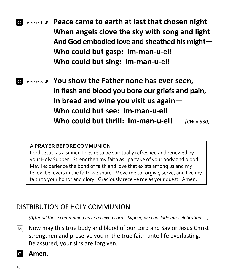Verse 1  **Peace came to earth at last that chosen night When angels clove the sky with song and light And God embodied love and sheathed his might— Who could but gasp: Im-man-u-el! Who could but sing: Im-man-u-el!**

 Verse 3  **You show the Father none has ever seen, In flesh and blood you bore our griefs and pain, In bread and wine you visit us again— Who could but see: Im-man-u-el! Who could but thrill: Im-man-u-el!** *(CW # 330)*

#### **A PRAYER BEFORE COMMUNION**

Lord Jesus, as a sinner, I desire to be spiritually refreshed and renewed by your Holy Supper. Strengthen my faith as I partake of your body and blood. May I experience the bond of faith and love that exists among us and my fellow believers in the faith we share. Move me to forgive, serve, and live my faith to your honor and glory. Graciously receive me as your guest. Amen.

## DISTRIBUTION OF HOLY COMMUNION

*(After all those communing have received Lord's Supper, we conclude our celebration: )*

- Now may this true body and blood of our Lord and Savior Jesus Christ  $M<sub>l</sub>$ strengthen and preserve you in the true faith unto life everlasting. Be assured, your sins are forgiven.
- ia. **Amen.**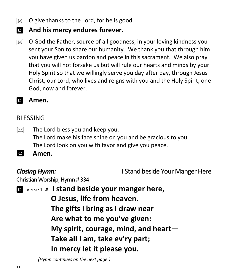- O give thanks to the Lord, for he is good.  $|M|$
- **And his mercy endures forever.**
- O God the Father, source of all goodness, in your loving kindness you  $|M|$ sent your Son to share our humanity. We thank you that through him you have given us pardon and peace in this sacrament. We also pray that you will not forsake us but will rule our hearts and minds by your Holy Spirit so that we willingly serve you day after day, through Jesus Christ, our Lord, who lives and reigns with you and the Holy Spirit, one God, now and forever.

#### **Amen.**  $\mathbf{C}$

### BLESSING

- The Lord bless you and keep you.  $\lvert\mathrm{M}\rvert$ The Lord make his face shine on you and be gracious to you. The Lord look on you with favor and give you peace.
- **C Amen.**

*Closing Hymn:* I Stand beside Your Manger Here

Christian Worship, Hymn # 334

Verse 1 **I stand beside your manger here,** 

 **O Jesus, life from heaven. The gifts I bring as I draw near Are what to me you've given: My spirit, courage, mind, and heart— Take all I am, take ev'ry part; In mercy let it please you.**

 *(Hymn continues on the next page.)*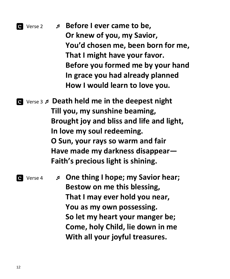# Verse 2  **Before I ever came to be, Or knew of you, my Savior, You'd chosen me, been born for me, That I might have your favor. Before you formed me by your hand In grace you had already planned How I would learn to love you.**

 Verse 3 **Death held me in the deepest night Till you, my sunshine beaming, Brought joy and bliss and life and light, In love my soul redeeming. O Sun, your rays so warm and fair Have made my darkness disappear— Faith's precious light is shining.**

*Q*  $\vee$  verse 4 *p* **One thing I hope; my Savior hear; Bestow on me this blessing, That I may ever hold you near, You as my own possessing. So let my heart your manger be; Come, holy Child, lie down in me With all your joyful treasures.**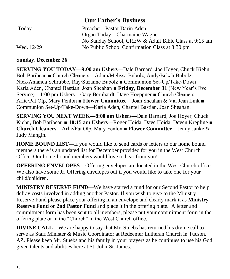### **Our Father's Business**

| Today      | Preacher, Pastor Darin Aden                           |
|------------|-------------------------------------------------------|
|            | Organ Today—Charmaine Wagner                          |
|            | No Sunday School, CREW & Adult Bible Class at 9:15 am |
| Wed. 12/29 | No Public School Confirmation Class at 3:30 pm        |

#### **Sunday, December 26**

**SERVING YOU TODAY**—**9:00 am Ushers—**Dale Barnard, Joe Hoyer, Chuck Kiehn, Bob Baribeau ■ Church Cleaners—Adam/Melissa Bubolz, Andy/Bekah Bubolz, Nick/Amanda Schrubbe, Ray/Suzanne Bubolz ■ Communion Set-Up/Take-Down— Karla Aden, Chantel Bastian, Joan Sheahan ■ **Friday, December 31** (New Year's Eve Service)—1:00 pm Ushers—Gary Bernhardt, Dave Hoeppner ■ Church Cleaners— Arlie/Pat Olp, Mary Fenlon **■ Flower Committee**—Joan Sheahan & Val Jean Link ■ Communion Set-Up/Take-Down—Karla Aden, Chantel Bastian, Joan Sheahan.

**SERVING YOU NEXT WEEK—8:00 am Ushers—**Dale Barnard, Joe Hoyer, Chuck Kiehn, Bob Baribeau ■ **10:15 am Ushers—**Roger Hoida, Dave Hoida, Deven Krepline **■ Church Cleaners—**Arlie/Pat Olp, Mary Fenlon ■ **Flower Committee—**Jenny Janke & Judy Mangin.

**HOME BOUND LIST—**If you would like to send cards or letters to our home bound members there is an updated list for December provided for you in the West Church Office. Our home-bound members would love to hear from you!

**OFFERING ENVELOPES—**Offering envelopes are located in the West Church office. We also have some Jr. Offering envelopes out if you would like to take one for your child/children.

**MINISTRY RESERVE FUND**—We have started a fund for our Second Pastor to help defray costs involved in adding another Pastor. If you wish to give to the Ministry Reserve Fund please place your offering in an envelope and clearly mark it as **Ministry Reserve Fund or 2nd Pastor Fund** and place it in the offering plate. A letter and commitment form has been sent to all members, please put your commitment form in the offering plate or in the "Church" in the West Church office.

**DIVINE CALL—We are happy to say that Mr. Stuebs has returned his divine call to** serve as Staff Minister & Music Coordinator at Redeemer Lutheran Church in Tucson, AZ. Please keep Mr. Stuebs and his family in your prayers as he continues to use his God given talents and abilities here at St. John-St. James.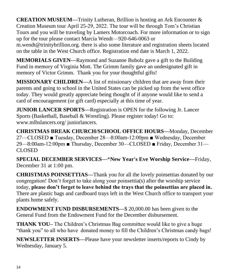**CREATION MUSEUM—**Trinity Lutheran, Brillion is hosting an Ark Encounter & Creation Museum tour April 25-29, 2022. The tour will be through Tom's Christian Tours and you will be traveling by Lamers Motorcoach. For more information or to sign up for the tour please contact Marcia Wendt—920-646-0063 or

m.wendt@trinitybrillion.org. there is also some literature and registration sheets located on the table in the West Church office. Registration end date is March 1, 2022.

**MEMORIALS GIVEN—**Raymond and Suzanne Bubolz gave a gift to the Building Fund in memory of Virginia Mott. The Grimm family gave an undesignated gift in memory of Victor Grimm. Thank you for your thoughtful gifts!

**MISSIONARY CHILDREN—**A list of missionary children that are away from their parents and going to school in the United States can be picked up from the west office today. They would greatly appreciate being thought of if anyone would like to send a card of encouragement (or gift card) especially at this time of year.

**JUNIOR LANCER SPORTS—**Registration is OPEN for the following Jr. Lancer Sports (Basketball, Baseball & Wrestling). Please register today! Go to: www.mlhslancers.org/ juniorlancers.

**CHRISTMAS BREAK CHURCH/SCHOOL OFFICE HOURS—**Monday, December 27—CLOSED ■ Tuesday, December 28—8:00am-12:00pm ■ Wednesday, December 29—8:00am-12:00pm ■ Thursday, December 30—CLOSED ■ Friday, December 31— CLOSED

**SPECIAL DECEMBER SERVICES—**\***New Year's Eve Worship Service—**Friday, December 31 at 1:00 pm.

**CHRISTMAS POINSETTIAS—**Thank you for all the lovely poinsettias donated by our congregation! Don't forget to take along your poinsettia(s) after the worship service today, **please don't forget to leave behind the trays that the poinsettias are placed in.** There are plastic bags and cardboard trays left in the West Church office to transport your plants home safely.

**ENDOWMENT FUND DISBURSEMENTS—**\$ 20,000.00 has been given to the General Fund from the Endowment Fund for the December disbursement.

**THANK YOU–** The Children's Christmas Bag committee would like to give a huge "thank you" to all who have donated money to fill the Children's Christmas candy bags!

**NEWSLETTER INSERTS—**Please have your newsletter inserts/reports to Cindy by Wednesday, January 5.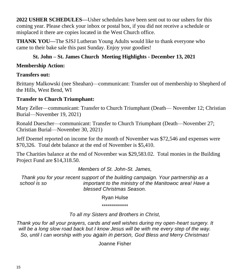**2022 USHER SCHEDULES—**Usher schedules have been sent out to our ushers for this coming year. Please check your inbox or postal box, if you did not receive a schedule or misplaced it there are copies located in the West Church office.

**THANK YOU—**The SJSJ Lutheran Young Adults would like to thank everyone who came to their bake sale this past Sunday. Enjoy your goodies!

### **St. John – St. James Church Meeting Highlights - December 13, 2021**

#### **Membership Action:**

#### **Transfers out:**

Brittany Malkowski (nee Sheahan)—communicant: Transfer out of membership to Shepherd of the Hills, West Bend, WI

#### **Transfer to Church Triumphant:**

Mary Zeller—communicant: Transfer to Church Triumphant (Death— November 12; Christian Burial—November 19, 2021)

Ronald Duescher—communicant: Transfer to Church Triumphant (Death—November 27; Christian Burial—November 30, 2021)

Jeff Doemel reported on income for the month of November was \$72,546 and expenses were \$70,326. Total debt balance at the end of November is \$5,410.

The Charities balance at the end of November was \$29,583.02. Total monies in the Building Project Fund are \$14,318.50.

#### *Members of St. John-St. James,*

*Thank you for your recent support of the building campaign. Your partnership as a school is so important to the ministry of the Manitowoc area! Have a blessed Christmas Season.* 

Ryan Hulse

\*\*\*\*\*\*\*\*\*\*\*\*\*

#### *To all my Sisters and Brothers in Christ,*

*Thank you for all your prayers, cards and well wishes during my open-heart surgery. It will be a long slow road back but I know Jesus will be with me every step of the way. So, until I can worship with you again in person, God Bless and Merry Christmas!*

Joanne Fisher